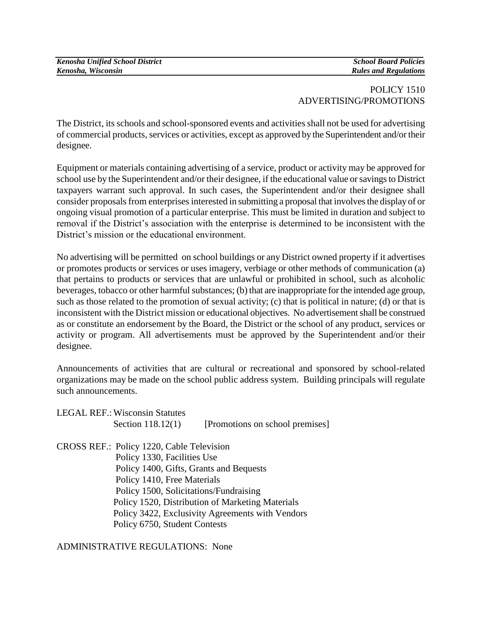## POLICY 1510 ADVERTISING/PROMOTIONS

The District, its schools and school-sponsored events and activities shall not be used for advertising of commercial products, services or activities, except as approved by the Superintendent and/or their designee.

Equipment or materials containing advertising of a service, product or activity may be approved for school use by the Superintendent and/or their designee, if the educational value or savings to District taxpayers warrant such approval. In such cases, the Superintendent and/or their designee shall consider proposals from enterprises interested in submitting a proposal that involves the display of or ongoing visual promotion of a particular enterprise. This must be limited in duration and subject to removal if the District's association with the enterprise is determined to be inconsistent with the District's mission or the educational environment.

No advertising will be permitted on school buildings or any District owned property if it advertises or promotes products or services or uses imagery, verbiage or other methods of communication (a) that pertains to products or services that are unlawful or prohibited in school, such as alcoholic beverages, tobacco or other harmful substances; (b) that are inappropriate for the intended age group, such as those related to the promotion of sexual activity; (c) that is political in nature; (d) or that is inconsistent with the District mission or educational objectives. No advertisement shall be construed as or constitute an endorsement by the Board, the District or the school of any product, services or activity or program. All advertisements must be approved by the Superintendent and/or their designee.

Announcements of activities that are cultural or recreational and sponsored by school-related organizations may be made on the school public address system. Building principals will regulate such announcements.

| <b>LEGAL REF.: Wisconsin Statutes</b>     |                                                  |
|-------------------------------------------|--------------------------------------------------|
| Section 118.12(1)                         | [Promotions on school premises]                  |
| CROSS REF.: Policy 1220, Cable Television |                                                  |
| Policy 1330, Facilities Use               |                                                  |
|                                           | Policy 1400, Gifts, Grants and Bequests          |
| Policy 1410, Free Materials               |                                                  |
|                                           | Policy 1500, Solicitations/Fundraising           |
|                                           | Policy 1520, Distribution of Marketing Materials |
|                                           | Policy 3422, Exclusivity Agreements with Vendors |
|                                           |                                                  |

Policy 6750, Student Contests

ADMINISTRATIVE REGULATIONS: None